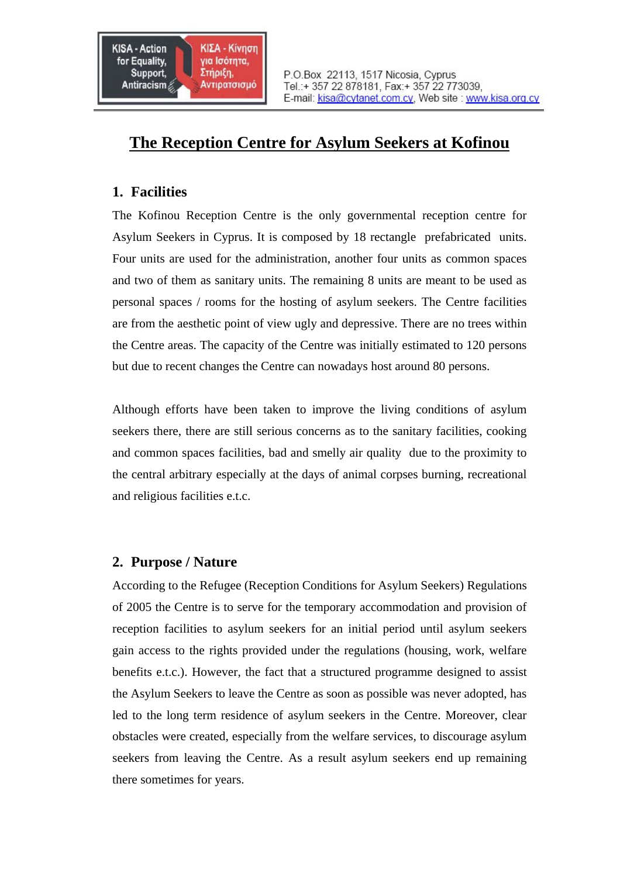

# **The Reception Centre for Asylum Seekers at Kofinou**

### **1. Facilities**

The Kofinou Reception Centre is the only governmental reception centre for Asylum Seekers in Cyprus. It is composed by 18 rectangle prefabricated units. Four units are used for the administration, another four units as common spaces and two of them as sanitary units. The remaining 8 units are meant to be used as personal spaces / rooms for the hosting of asylum seekers. The Centre facilities are from the aesthetic point of view ugly and depressive. There are no trees within the Centre areas. The capacity of the Centre was initially estimated to 120 persons but due to recent changes the Centre can nowadays host around 80 persons.

Although efforts have been taken to improve the living conditions of asylum seekers there, there are still serious concerns as to the sanitary facilities, cooking and common spaces facilities, bad and smelly air quality due to the proximity to the central arbitrary especially at the days of animal corpses burning, recreational and religious facilities e.t.c.

## **2. Purpose / Nature**

According to the Refugee (Reception Conditions for Asylum Seekers) Regulations of 2005 the Centre is to serve for the temporary accommodation and provision of reception facilities to asylum seekers for an initial period until asylum seekers gain access to the rights provided under the regulations (housing, work, welfare benefits e.t.c.). However, the fact that a structured programme designed to assist the Asylum Seekers to leave the Centre as soon as possible was never adopted, has led to the long term residence of asylum seekers in the Centre. Moreover, clear obstacles were created, especially from the welfare services, to discourage asylum seekers from leaving the Centre. As a result asylum seekers end up remaining there sometimes for years.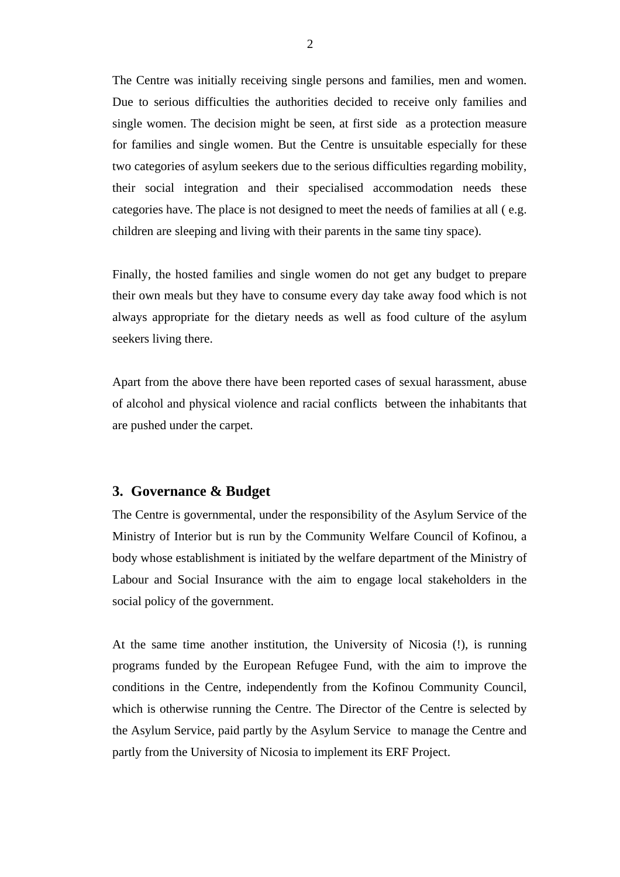The Centre was initially receiving single persons and families, men and women. Due to serious difficulties the authorities decided to receive only families and single women. The decision might be seen, at first side as a protection measure for families and single women. But the Centre is unsuitable especially for these two categories of asylum seekers due to the serious difficulties regarding mobility, their social integration and their specialised accommodation needs these categories have. The place is not designed to meet the needs of families at all ( e.g. children are sleeping and living with their parents in the same tiny space).

Finally, the hosted families and single women do not get any budget to prepare their own meals but they have to consume every day take away food which is not always appropriate for the dietary needs as well as food culture of the asylum seekers living there.

Apart from the above there have been reported cases of sexual harassment, abuse of alcohol and physical violence and racial conflicts between the inhabitants that are pushed under the carpet.

#### **3. Governance & Budget**

The Centre is governmental, under the responsibility of the Asylum Service of the Ministry of Interior but is run by the Community Welfare Council of Kofinou, a body whose establishment is initiated by the welfare department of the Ministry of Labour and Social Insurance with the aim to engage local stakeholders in the social policy of the government.

At the same time another institution, the University of Nicosia (!), is running programs funded by the European Refugee Fund, with the aim to improve the conditions in the Centre, independently from the Kofinou Community Council, which is otherwise running the Centre. The Director of the Centre is selected by the Asylum Service, paid partly by the Asylum Service to manage the Centre and partly from the University of Nicosia to implement its ERF Project.